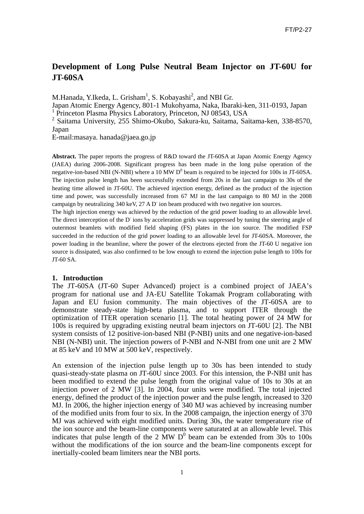# **Development of Long Pulse Neutral Beam Injector on JT-60U for JT-60SA**

M.Hanada, Y.Ikeda, L. Grisham<sup>1</sup>, S. Kobayashi<sup>2</sup>, and NBI Gr.

Japan Atomic Energy Agency, 801-1 Mukohyama, Naka, Ibaraki-ken, 311-0193, Japan 1 Princeton Plasma Physics Laboratory, Princeton, NJ 08543, USA

2 Saitama University, 255 Shimo-Okubo, Sakura-ku, Saitama, Saitama-ken, 338-8570, Japan

E-mail:masaya. hanada@jaea.go.jp

**Abstract.** The paper reports the progress of R&D toward the JT-60SA at Japan Atomic Energy Agency (JAEA) during 2006-2008. Significant progress has been made in the long pulse operation of the negative-ion-based NBI (N-NBI) where a 10 MW  $D<sup>0</sup>$  beam is required to be injected for 100s in JT-60SA. The injection pulse length has been successfully extended from 20s in the last campaign to 30s of the heating time allowed in JT-60U. The achieved injection energy, defined as the product of the injection time and power, was successfully increased from 67 MJ in the last campaign to 80 MJ in the 2008 campaign by neutralizing 340 keV, 27 A D ion beam produced with two negative ion sources.

The high injection energy was achieved by the reduction of the grid power loading to an allowable level. The direct interception of the D<sup>-</sup> ions by acceleration grids was suppressed by tuning the steering angle of outermost beamlets with modified field shaping (FS) plates in the ion source. The modified FSP succeeded in the reduction of the grid power loading to an allowable level for JT-60SA. Moreover, the power loading in the beamline, where the power of the electrons ejected from the JT-60 U negative ion source is dissipated, was also confirmed to be low enough to extend the injection pulse length to 100s for JT-60 SA.

#### **1. Introduction**

The JT-60SA (JT-60 Super Advanced) project is a combined project of JAEA's program for national use and JA-EU Satellite Tokamak Program collaborating with Japan and EU fusion community. The main objectives of the JT-60SA are to demonstrate steady-state high-beta plasma, and to support ITER through the optimization of ITER operation scenario [1]. The total heating power of 24 MW for 100s is required by upgrading existing neutral beam injectors on JT-60U [2]. The NBI system consists of 12 positive-ion-based NBI (P-NBI) units and one negative-ion-based NBI (N-NBI) unit. The injection powers of P-NBI and N-NBI from one unit are 2 MW at 85 keV and 10 MW at 500 keV, respectively.

An extension of the injection pulse length up to 30s has been intended to study quasi-steady-state plasma on JT-60U since 2003. For this intension, the P-NBI unit has been modified to extend the pulse length from the original value of 10s to 30s at an injection power of 2 MW [3]. In 2004, four units were modified. The total injected energy, defined the product of the injection power and the pulse length, increased to 320 MJ. In 2006, the higher injection energy of 340 MJ was achieved by increasing number of the modified units from four to six. In the 2008 campaign, the injection energy of 370 MJ was achieved with eight modified units. During 30s, the water temperature rise of the ion source and the beam-line components were saturated at an allowable level. This indicates that pulse length of the 2 MW  $D^0$  beam can be extended from 30s to 100s without the modifications of the ion source and the beam-line components except for inertially-cooled beam limiters near the NBI ports.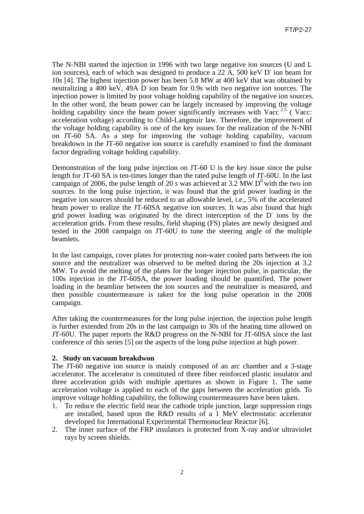The N-NBI started the injection in 1996 with two large negative ion sources (U and L ion sources), each of which was designed to produce a 22  $\AA$ , 500 keV D<sup>-</sup> ion beam for 10s [4]. The highest injection power has been 5.8 MW at 400 keV that was obtained by neutralizing a 400 keV, 49A D ion beam for 0.9s with two negative ion sources. The injection power is limited by poor voltage holding capability of the negative ion sources. In the other word, the beam power can be largely increased by improving the voltage holding capability since the beam power significantly increases with Vacc<sup>2.5</sup> (Vacc: acceleration voltage) according to Child-Langmuir law. Therefore, the improvement of the voltage holding capability is one of the key issues for the realization of the N-NBI on JT-60 SA. As a step for improving the voltage holding capability, vacuum breakdown in the JT-60 negative ion source is carefully examined to find the dominant factor degrading voltage holding capability.

Demonstration of the long pulse injection on JT-60 U is the key issue since the pulse length for JT-60 SA is ten-times longer than the rated pulse length of JT-60U. In the last campaign of 2006, the pulse length of 20 s was achieved at 3.2 MW  $D^0$  with the two ion sources. In the long pulse injection, it was found that the grid power loading in the negative ion sources should be reduced to an allowable level, i.e., 5% of the accelerated beam power to realize the JT-60SA negative ion sources. It was also found that high grid power loading was originated by the direct interception of the D- ions by the acceleration grids. From these results, field shaping (FS) plates are newly designed and tested in the 2008 campaign on JT-60U to tune the steering angle of the multiple beamlets.

In the last campaign, cover plates for protecting non-water cooled parts between the ion source and the neutralizer was observed to be melted during the 20s injection at 3.2 MW. To avoid the melting of the plates for the longer injection pulse, in particular, the 100s injection in the JT-60SA, the power loading should be quantified. The power loading in the beamline between the ion sources and the neutralizer is measured, and then possible countermeasure is taken for the long pulse operation in the 2008 campaign.

After taking the countermeasures for the long pulse injection, the injection pulse length is further extended from 20s in the last campaign to 30s of the heating time allowed on JT-60U. The paper reports the R&D progress on the N-NBI for JT-60SA since the last conference of this series [5] on the aspects of the long pulse injection at high power.

## **2. Study on vacuum breakdwon**

The JT-60 negative ion source is mainly composed of an arc chamber and a 3-stage accelerator. The accelerator is constituted of three fiber reinforced plastic insulator and three acceleration grids with multiple apertures as shown in Figure 1. The same acceleration voltage is applied to each of the gaps between the acceleration grids. To improve voltage holding capability, the following countermeasures have been taken.

- 1. To reduce the electric field near the cathode triple junction, large suppression rings are installed, based upon the R&D results of a 1 MeV electrostatic accelerator developed for International Experimental Thermonuclear Reactor [6].
- 2. The inner surface of the FRP insulators is protected from X-ray and/or ultraviolet rays by screen shields.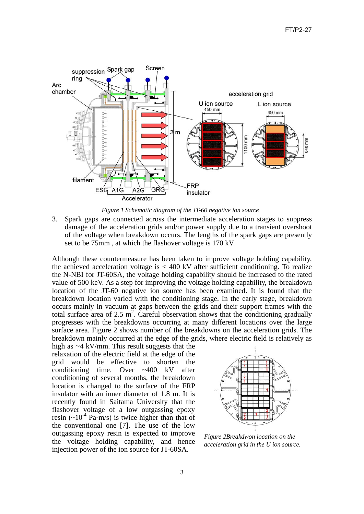



3. Spark gaps are connected across the intermediate acceleration stages to suppress damage of the acceleration grids and/or power supply due to a transient overshoot of the voltage when breakdown occurs. The lengths of the spark gaps are presently set to be 75mm , at which the flashover voltage is 170 kV.

Although these countermeasure has been taken to improve voltage holding capability, the achieved acceleration voltage is  $< 400 \text{ kV}$  after sufficient conditioning. To realize the N-NBI for JT-60SA, the voltage holding capability should be increased to the rated value of 500 keV. As a step for improving the voltage holding capability, the breakdown location of the JT-60 negative ion source has been examined. It is found that the breakdown location varied with the conditioning stage. In the early stage, breakdown occurs mainly in vacuum at gaps between the grids and their support frames with the total surface area of 2.5  $m^2$ . Careful observation shows that the conditioning gradually progresses with the breakdowns occurring at many different locations over the large surface area. Figure 2 shows number of the breakdowns on the acceleration grids. The breakdown mainly occurred at the edge of the grids, where electric field is relatively as

high as  $\sim$ 4 kV/mm. This result suggests that the relaxation of the electric field at the edge of the grid would be effective to shorten the conditioning time. Over ~400 kV after conditioning of several months, the breakdown location is changed to the surface of the FRP insulator with an inner diameter of 1.8 m. It is recently found in Saitama University that the flashover voltage of a low outgassing epoxy resin  $({\sim}10^{-4}$  Pa·m/s) is twice higher than that of the conventional one [7]. The use of the low outgassing epoxy resin is expected to improve the voltage holding capability, and hence injection power of the ion source for JT-60SA.



*Figure 2Breakdwon location on the acceleration grid in the U ion source.*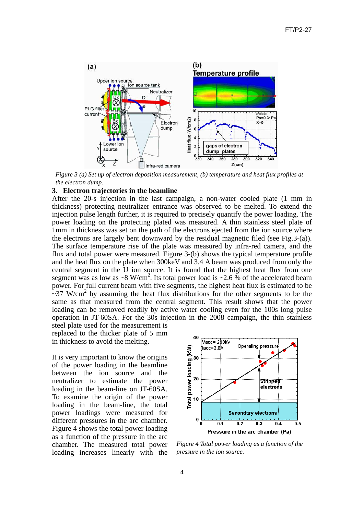

*Figure 3 (a) Set up of electron deposition measurement, (b) temperature and heat flux profiles at the electron dump.* 

## **3. Electron trajectories in the beamline**

After the 20-s injection in the last campaign, a non-water cooled plate (1 mm in thickness) protecting neutralizer entrance was observed to be melted. To extend the injection pulse length further, it is required to precisely quantify the power loading. The power loading on the protecting plated was measured. A thin stainless steel plate of 1mm in thickness was set on the path of the electrons ejected from the ion source where the electrons are largely bent downward by the residual magnetic filed (see Fig.3-(a)). The surface temperature rise of the plate was measured by infra-red camera, and the flux and total power were measured. Figure 3-(b) shows the typical temperature profile and the heat flux on the plate when 300keV and 3.4 A beam was produced from only the central segment in the U ion source. It is found that the highest heat flux from one segment was as low as ~8 W/cm<sup>2</sup>. Its total power load is ~2.6 % of the accelerated beam power. For full current beam with five segments, the highest heat flux is estimated to be  $\sim$ 37 W/cm<sup>2</sup> by assuming the heat flux distributions for the other segments to be the same as that measured from the central segment. This result shows that the power loading can be removed readily by active water cooling even for the 100s long pulse operation in JT-60SA. For the 30s injection in the 2008 campaign, the thin stainless

steel plate used for the measurement is replaced to the thicker plate of 5 mm in thickness to avoid the melting.

It is very important to know the origins of the power loading in the beamline between the ion source and the neutralizer to estimate the power loading in the beam-line on JT-60SA. To examine the origin of the power loading in the beam-line, the total power loadings were measured for different pressures in the arc chamber. Figure 4 shows the total power loading as a function of the pressure in the arc chamber. The measured total power loading increases linearly with the



*Figure 4 Total power loading as a function of the pressure in the ion source.*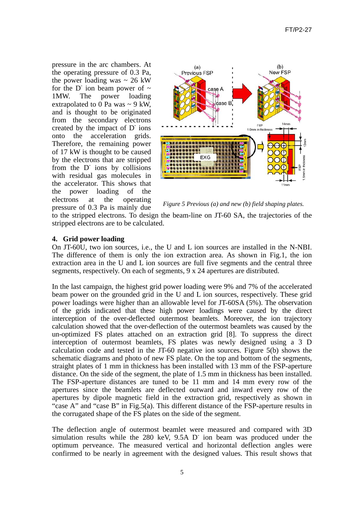pressure in the arc chambers. At the operating pressure of 0.3 Pa, the power loading was  $\sim$  26 kW for the D<sup>-</sup> ion beam power of  $\sim$ 1MW. The power loading extrapolated to 0 Pa was  $\sim$  9 kW. and is thought to be originated from the secondary electrons created by the impact of D<sup>-</sup> ions onto the acceleration grids. Therefore, the remaining power of 17 kW is thought to be caused by the electrons that are stripped from the D<sup>-</sup> ions by collisions with residual gas molecules in the accelerator. This shows that the power loading of the electrons at the operating pressure of 0.3 Pa is mainly due



*Figure 5 Previous (a) and new (b) field shaping plates.* 

to the stripped electrons. To design the beam-line on JT-60 SA, the trajectories of the stripped electrons are to be calculated.

## **4. Grid power loading**

On JT-60U, two ion sources, i.e., the U and L ion sources are installed in the N-NBI. The difference of them is only the ion extraction area. As shown in Fig.1, the ion extraction area in the U and L ion sources are full five segments and the central three segments, respectively. On each of segments, 9 x 24 apertures are distributed.

In the last campaign, the highest grid power loading were 9% and 7% of the accelerated beam power on the grounded grid in the U and L ion sources, respectively. These grid power loadings were higher than an allowable level for JT-60SA (5%). The observation of the grids indicated that these high power loadings were caused by the direct interception of the over-deflected outermost beamlets. Moreover, the ion trajectory calculation showed that the over-deflection of the outermost beamlets was caused by the un-optimized FS plates attached on an extraction grid [8]. To suppress the direct interception of outermost beamlets, FS plates was newly designed using a 3 D calculation code and tested in the JT-60 negative ion sources. Figure 5(b) shows the schematic diagrams and photo of new FS plate. On the top and bottom of the segments, straight plates of 1 mm in thickness has been installed with 13 mm of the FSP-aperture distance. On the side of the segment, the plate of 1.5 mm in thickness has been installed. The FSP-aperture distances are tuned to be 11 mm and 14 mm every row of the apertures since the beamlets are deflected outward and inward every row of the apertures by dipole magnetic field in the extraction grid, respectively as shown in "case A" and "case B" in Fig.5(a). This different distance of the FSP-aperture results in the corrugated shape of the FS plates on the side of the segment.

The deflection angle of outermost beamlet were measured and compared with 3D simulation results while the 280 keV, 9.5A D ion beam was produced under the optimum perveance. The measured vertical and horizontal deflection angles were confirmed to be nearly in agreement with the designed values. This result shows that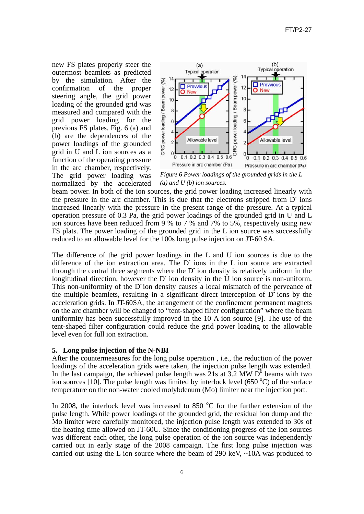new FS plates properly steer the outermost beamlets as predicted by the simulation. After the confirmation of the proper steering angle, the grid power loading of the grounded grid was measured and compared with the grid power loading for the previous FS plates. Fig. 6 (a) and (b) are the dependences of the power loadings of the grounded grid in U and L ion sources as a function of the operating pressure in the arc chamber, respectively.



The grid power loading was normalized by the accelerated

*Figure 6 Power loadings of the grounded grids in the L (a) and U (b) ion sources.* 

beam power. In both of the ion sources, the grid power loading increased linearly with the pressure in the arc chamber. This is due that the electrons stripped from D<sup>-</sup> ions increased linearly with the pressure in the present range of the pressure. At a typical operation pressure of 0.3 Pa, the grid power loadings of the grounded grid in U and L ion sources have been reduced from 9 % to 7 % and 7% to 5%, respectively using new FS plats. The power loading of the grounded grid in the L ion source was successfully reduced to an allowable level for the 100s long pulse injection on JT-60 SA.

The difference of the grid power loadings in the L and U ion sources is due to the difference of the ion extraction area. The D<sup>-</sup> ions in the L ion source are extracted through the central three segments where the  $D<sup>+</sup>$  ion density is relatively uniform in the longitudinal direction, however the  $D$  ion density in the  $\check{U}$  ion source is non-uniform. This non-uniformity of the D ion density causes a local mismatch of the perveance of the multiple beamlets, resulting in a significant direct interception of  $D<sup>-</sup>$  ions by the acceleration grids. In JT-60SA, the arrangement of the confinement permanent magnets on the arc chamber will be changed to "tent-shaped filter configuration" where the beam uniformity has been successfully improved in the 10 A ion source [9]. The use of the tent-shaped filter configuration could reduce the grid power loading to the allowable level even for full ion extraction.

## **5. Long pulse injection of the N-NBI**

After the countermeasures for the long pulse operation , i.e., the reduction of the power loadings of the acceleration grids were taken, the injection pulse length was extended. In the last campaign, the achieved pulse length was 21s at  $3.2$  MW D<sup>0</sup> beams with two ion sources [10]. The pulse length was limited by interlock level (650  $^{\circ}$ C) of the surface temperature on the non-water cooled molybdenum (Mo) limiter near the injection port.

In 2008, the interlock level was increased to 850  $^{\circ}$ C for the further extension of the pulse length. While power loadings of the grounded grid, the residual ion dump and the Mo limiter were carefully monitored, the injection pulse length was extended to 30s of the heating time allowed on JT-60U. Since the conditioning progress of the ion sources was different each other, the long pulse operation of the ion source was independently carried out in early stage of the 2008 campaign. The first long pulse injection was carried out using the L ion source where the beam of 290 keV, ~10A was produced to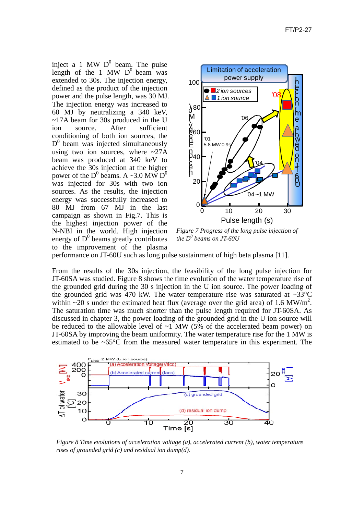inject a 1 MW  $D^0$  beam. The pulse length of the 1 MW  $D^0$  beam was extended to 30s. The injection energy, defined as the product of the injection power and the pulse length, was 30 MJ. The injection energy was increased to 60 MJ by neutralizing a 340 keV, ~17A beam for 30s produced in the U ion source. After sufficient conditioning of both ion sources, the  $D^0$  beam was injected simultaneously using two ion sources, where  $\sim$ 27A beam was produced at 340 keV to achieve the 30s injection at the higher power of the D<sup>0</sup> beams. A ~3.0 MW D<sup>0</sup> was injected for 30s with two ion sources. As the results, the injection energy was successfully increased to 80 MJ from 67 MJ in the last campaign as shown in Fig.7. This is the highest injection power of the N-NBI in the world. High injection energy of  $D^0$  beams greatly contributes to the improvement of the plasma



*Figure 7 Progress of the long pulse injection of*   $the D<sup>0</sup>$  *beams on JT-60U* 

performance on JT-60U such as long pulse sustainment of high beta plasma [11].

From the results of the 30s injection, the feasibility of the long pulse injection for JT-60SA was studied. Figure 8 shows the time evolution of the water temperature rise of the grounded grid during the 30 s injection in the U ion source. The power loading of the grounded grid was 470 kW. The water temperature rise was saturated at  $\sim 33^{\circ}$ C within  $\sim$ 20 s under the estimated heat flux (average over the grid area) of 1.6 MW/m<sup>2</sup>. The saturation time was much shorter than the pulse length required for JT-60SA. As discussed in chapter 3, the power loading of the grounded grid in the U ion source will be reduced to the allowable level of  $\sim$ 1 MW (5% of the accelerated beam power) on JT-60SA by improving the beam uniformity. The water temperature rise for the 1 MW is estimated to be ~65°C from the measured water temperature in this experiment. The



*Figure 8 Time evolutions of acceleration voltage (a), accelerated current (b), water temperature rises of grounded grid (c) and residual ion dump(d).*